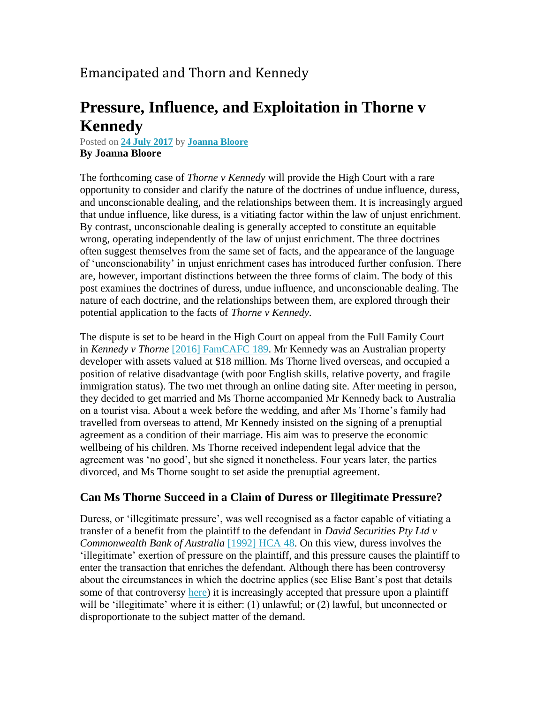## Emancipated and Thorn and Kennedy

# **Pressure, Influence, and Exploitation in Thorne v Kennedy**

Posted on **24 July [2017](https://blogs.unimelb.edu.au/opinionsonhigh/2017/07/24/bloore-thorne-kennedy/)** by **[Joanna](https://blogs.unimelb.edu.au/opinionsonhigh/author/jbloore/) Bloore By Joanna Bloore**

The forthcoming case of *Thorne v Kennedy* will provide the High Court with a rare opportunity to consider and clarify the nature of the doctrines of undue influence, duress, and unconscionable dealing, and the relationships between them. It is increasingly argued that undue influence, like duress, is a vitiating factor within the law of unjust enrichment. By contrast, unconscionable dealing is generally accepted to constitute an equitable wrong, operating independently of the law of unjust enrichment. The three doctrines often suggest themselves from the same set of facts, and the appearance of the language of 'unconscionability' in unjust enrichment cases has introduced further confusion. There are, however, important distinctions between the three forms of claim. The body of this post examines the doctrines of duress, undue influence, and unconscionable dealing. The nature of each doctrine, and the relationships between them, are explored through their potential application to the facts of *Thorne v Kennedy*.

The dispute is set to be heard in the High Court on appeal from the Full Family Court in *Kennedy v Thorne* [2016] [FamCAFC](http://www.austlii.edu.au/au/cases/cth/FamCAFC/2016/189.html) 189. Mr Kennedy was an Australian property developer with assets valued at \$18 million. Ms Thorne lived overseas, and occupied a position of relative disadvantage (with poor English skills, relative poverty, and fragile immigration status). The two met through an online dating site. After meeting in person, they decided to get married and Ms Thorne accompanied Mr Kennedy back to Australia on a tourist visa. About a week before the wedding, and after Ms Thorne's family had travelled from overseas to attend, Mr Kennedy insisted on the signing of a prenuptial agreement as a condition of their marriage. His aim was to preserve the economic wellbeing of his children. Ms Thorne received independent legal advice that the agreement was 'no good', but she signed it nonetheless. Four years later, the parties divorced, and Ms Thorne sought to set aside the prenuptial agreement.

#### **Can Ms Thorne Succeed in a Claim of Duress or Illegitimate Pressure?**

Duress, or 'illegitimate pressure', was well recognised as a factor capable of vitiating a transfer of a benefit from the plaintiff to the defendant in *David Securities Pty Ltd v Commonwealth Bank of Australia* [\[1992\]](http://www.austlii.edu.au/au/cases/cth/HCA/1992/48.html) HCA 48. On this view, duress involves the 'illegitimate' exertion of pressure on the plaintiff, and this pressure causes the plaintiff to enter the transaction that enriches the defendant. Although there has been controversy about the circumstances in which the doctrine applies (see Elise Bant's post that details some of that controversy [here\)](https://blogs.unimelb.edu.au/opinionsonhigh/2014/03/12/bant-verve-energy/) it is increasingly accepted that pressure upon a plaintiff will be 'illegitimate' where it is either: (1) unlawful; or (2) lawful, but unconnected or disproportionate to the subject matter of the demand.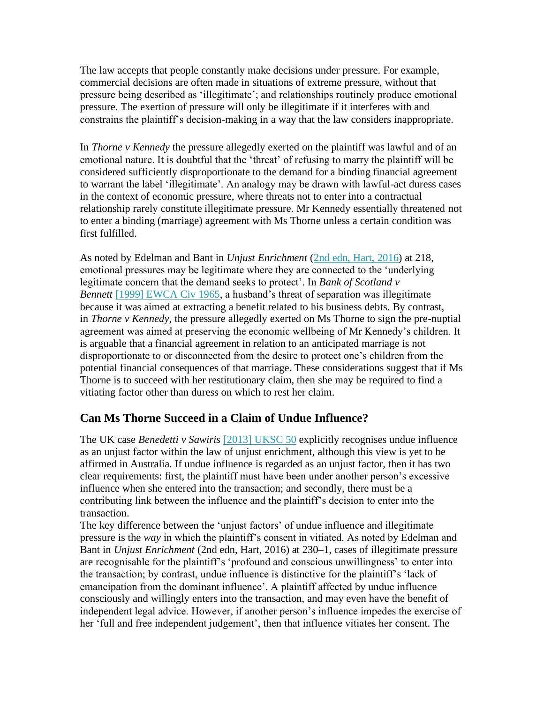The law accepts that people constantly make decisions under pressure. For example, commercial decisions are often made in situations of extreme pressure, without that pressure being described as 'illegitimate'; and relationships routinely produce emotional pressure. The exertion of pressure will only be illegitimate if it interferes with and constrains the plaintiff's decision-making in a way that the law considers inappropriate.

In *Thorne v Kennedy* the pressure allegedly exerted on the plaintiff was lawful and of an emotional nature. It is doubtful that the 'threat' of refusing to marry the plaintiff will be considered sufficiently disproportionate to the demand for a binding financial agreement to warrant the label 'illegitimate'. An analogy may be drawn with lawful-act duress cases in the context of economic pressure, where threats not to enter into a contractual relationship rarely constitute illegitimate pressure. Mr Kennedy essentially threatened not to enter a binding (marriage) agreement with Ms Thorne unless a certain condition was first fulfilled.

As noted by Edelman and Bant in *Unjust Enrichment* (2nd edn, Hart, [2016\)](http://www.bloomsburyprofessional.com/uk/unjust-enrichment-9781841133188/) at 218, emotional pressures may be legitimate where they are connected to the 'underlying legitimate concern that the demand seeks to protect'. In *Bank of Scotland v Bennett* [1999] [EWCA](http://swarb.co.uk/governor-and-company-of-bank-of-scotland-v-bennett-and-another-ca-21-dec-1998/) Civ 1965, a husband's threat of separation was illegitimate because it was aimed at extracting a benefit related to his business debts. By contrast, in *Thorne v Kennedy*, the pressure allegedly exerted on Ms Thorne to sign the pre-nuptial agreement was aimed at preserving the economic wellbeing of Mr Kennedy's children. It is arguable that a financial agreement in relation to an anticipated marriage is not disproportionate to or disconnected from the desire to protect one's children from the potential financial consequences of that marriage. These considerations suggest that if Ms Thorne is to succeed with her restitutionary claim, then she may be required to find a vitiating factor other than duress on which to rest her claim.

### **Can Ms Thorne Succeed in a Claim of Undue Influence?**

The UK case *Benedetti v Sawiris* [\[2013\]](http://www.bailii.org/uk/cases/UKSC/2013/50.html) UKSC 50 explicitly recognises undue influence as an unjust factor within the law of unjust enrichment, although this view is yet to be affirmed in Australia. If undue influence is regarded as an unjust factor, then it has two clear requirements: first, the plaintiff must have been under another person's excessive influence when she entered into the transaction; and secondly, there must be a contributing link between the influence and the plaintiff's decision to enter into the transaction.

The key difference between the 'unjust factors' of undue influence and illegitimate pressure is the *way* in which the plaintiff's consent in vitiated. As noted by Edelman and Bant in *Unjust Enrichment* (2nd edn, Hart, 2016) at 230–1, cases of illegitimate pressure are recognisable for the plaintiff's 'profound and conscious unwillingness' to enter into the transaction; by contrast, undue influence is distinctive for the plaintiff's 'lack of emancipation from the dominant influence'. A plaintiff affected by undue influence consciously and willingly enters into the transaction, and may even have the benefit of independent legal advice. However, if another person's influence impedes the exercise of her 'full and free independent judgement', then that influence vitiates her consent. The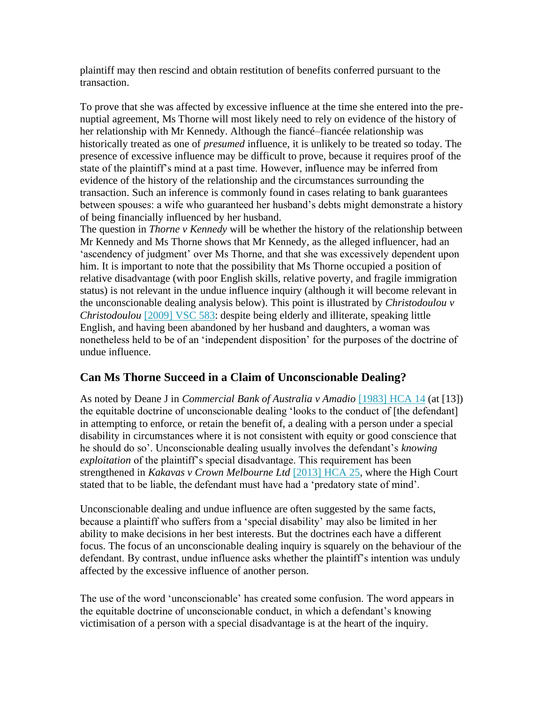plaintiff may then rescind and obtain restitution of benefits conferred pursuant to the transaction.

To prove that she was affected by excessive influence at the time she entered into the prenuptial agreement, Ms Thorne will most likely need to rely on evidence of the history of her relationship with Mr Kennedy. Although the fiancé–fiancée relationship was historically treated as one of *presumed* influence, it is unlikely to be treated so today. The presence of excessive influence may be difficult to prove, because it requires proof of the state of the plaintiff's mind at a past time. However, influence may be inferred from evidence of the history of the relationship and the circumstances surrounding the transaction. Such an inference is commonly found in cases relating to bank guarantees between spouses: a wife who guaranteed her husband's debts might demonstrate a history of being financially influenced by her husband.

The question in *Thorne v Kennedy* will be whether the history of the relationship between Mr Kennedy and Ms Thorne shows that Mr Kennedy, as the alleged influencer, had an 'ascendency of judgment' over Ms Thorne, and that she was excessively dependent upon him. It is important to note that the possibility that Ms Thorne occupied a position of relative disadvantage (with poor English skills, relative poverty, and fragile immigration status) is not relevant in the undue influence inquiry (although it will become relevant in the unconscionable dealing analysis below). This point is illustrated by *Christodoulou v Christodoulou* [\[2009\]](http://www.austlii.edu.au/cgi-bin/sinodisp/au/cases/vic/VSC/2009/583.html) VSC 583: despite being elderly and illiterate, speaking little English, and having been abandoned by her husband and daughters, a woman was nonetheless held to be of an 'independent disposition' for the purposes of the doctrine of undue influence.

### **Can Ms Thorne Succeed in a Claim of Unconscionable Dealing?**

As noted by Deane J in *Commercial Bank of Australia v Amadio* [\[1983\]](http://www.austlii.edu.au/cgi-bin/sinodisp/au/cases/cth/HCA/1983/14.html) HCA 14 (at [13]) the equitable doctrine of unconscionable dealing 'looks to the conduct of [the defendant] in attempting to enforce, or retain the benefit of, a dealing with a person under a special disability in circumstances where it is not consistent with equity or good conscience that he should do so'. Unconscionable dealing usually involves the defendant's *knowing exploitation* of the plaintiff's special disadvantage. This requirement has been strengthened in *Kakavas v Crown Melbourne Ltd* [\[2013\]](http://www.austlii.edu.au/cgi-bin/sinodisp/au/cases/cth/HCA/2013/25.html) HCA 25, where the High Court stated that to be liable, the defendant must have had a 'predatory state of mind'.

Unconscionable dealing and undue influence are often suggested by the same facts, because a plaintiff who suffers from a 'special disability' may also be limited in her ability to make decisions in her best interests. But the doctrines each have a different focus. The focus of an unconscionable dealing inquiry is squarely on the behaviour of the defendant. By contrast, undue influence asks whether the plaintiff's intention was unduly affected by the excessive influence of another person.

The use of the word 'unconscionable' has created some confusion. The word appears in the equitable doctrine of unconscionable conduct, in which a defendant's knowing victimisation of a person with a special disadvantage is at the heart of the inquiry.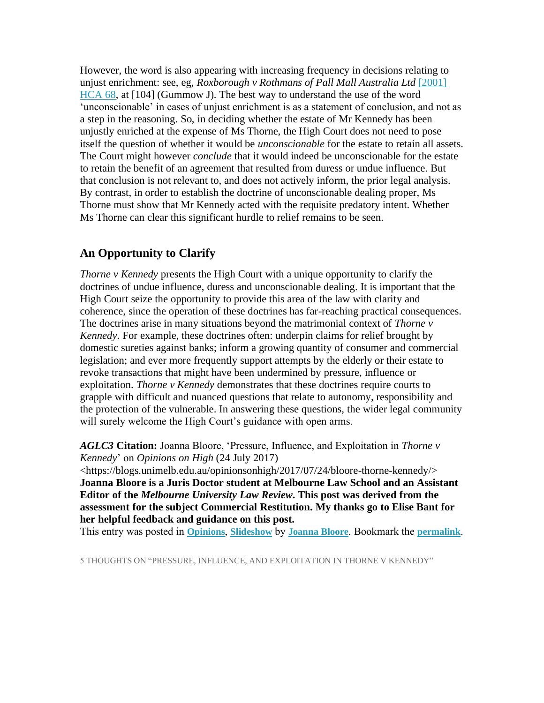However, the word is also appearing with increasing frequency in decisions relating to unjust enrichment: see, eg, *Roxborough v Rothmans of Pall Mall Australia Ltd* [\[2001\]](http://www.austlii.edu.au/cgi-bin/sinodisp/au/cases/cth/HCA/2001/68.html) [HCA](http://www.austlii.edu.au/cgi-bin/sinodisp/au/cases/cth/HCA/2001/68.html) 68, at [104] (Gummow J). The best way to understand the use of the word 'unconscionable' in cases of unjust enrichment is as a statement of conclusion, and not as a step in the reasoning. So, in deciding whether the estate of Mr Kennedy has been unjustly enriched at the expense of Ms Thorne, the High Court does not need to pose itself the question of whether it would be *unconscionable* for the estate to retain all assets. The Court might however *conclude* that it would indeed be unconscionable for the estate to retain the benefit of an agreement that resulted from duress or undue influence. But that conclusion is not relevant to, and does not actively inform, the prior legal analysis. By contrast, in order to establish the doctrine of unconscionable dealing proper, Ms Thorne must show that Mr Kennedy acted with the requisite predatory intent. Whether Ms Thorne can clear this significant hurdle to relief remains to be seen.

#### **An Opportunity to Clarify**

*Thorne v Kennedy* presents the High Court with a unique opportunity to clarify the doctrines of undue influence, duress and unconscionable dealing. It is important that the High Court seize the opportunity to provide this area of the law with clarity and coherence, since the operation of these doctrines has far-reaching practical consequences. The doctrines arise in many situations beyond the matrimonial context of *Thorne v Kennedy*. For example, these doctrines often: underpin claims for relief brought by domestic sureties against banks; inform a growing quantity of consumer and commercial legislation; and ever more frequently support attempts by the elderly or their estate to revoke transactions that might have been undermined by pressure, influence or exploitation. *Thorne v Kennedy* demonstrates that these doctrines require courts to grapple with difficult and nuanced questions that relate to autonomy, responsibility and the protection of the vulnerable. In answering these questions, the wider legal community will surely welcome the High Court's guidance with open arms.

*AGLC3* **Citation:** Joanna Bloore, 'Pressure, Influence, and Exploitation in *Thorne v Kennedy*' on *Opinions on High* (24 July 2017)

<https://blogs.unimelb.edu.au/opinionsonhigh/2017/07/24/bloore-thorne-kennedy/> **Joanna Bloore is a Juris Doctor student at Melbourne Law School and an Assistant Editor of the** *Melbourne University Law Review***. This post was derived from the assessment for the subject Commercial Restitution. My thanks go to Elise Bant for her helpful feedback and guidance on this post.**

This entry was posted in **[Opinions](https://blogs.unimelb.edu.au/opinionsonhigh/category/opinions/)**, **[Slideshow](https://blogs.unimelb.edu.au/opinionsonhigh/category/slideshow/)** by **[Joanna](https://blogs.unimelb.edu.au/opinionsonhigh/author/jbloore/) Bloore**. Bookmark the **[permalink](https://blogs.unimelb.edu.au/opinionsonhigh/2017/07/24/bloore-thorne-kennedy/)**.

5 THOUGHTS ON "PRESSURE, INFLUENCE, AND EXPLOITATION IN THORNE V KENNEDY"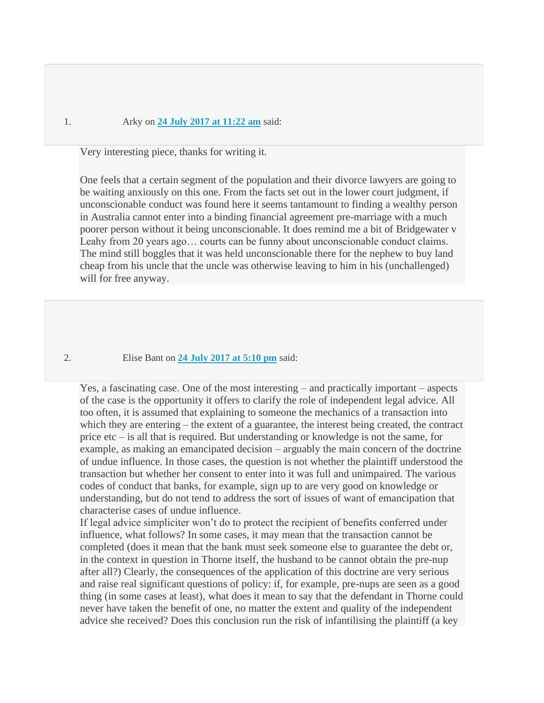#### 1. Arky on **24 July 2017 at [11:22](https://blogs.unimelb.edu.au/opinionsonhigh/2017/07/24/bloore-thorne-kennedy/#comment-122174) am** said:

Very interesting piece, thanks for writing it.

One feels that a certain segment of the population and their divorce lawyers are going to be waiting anxiously on this one. From the facts set out in the lower court judgment, if unconscionable conduct was found here it seems tantamount to finding a wealthy person in Australia cannot enter into a binding financial agreement pre-marriage with a much poorer person without it being unconscionable. It does remind me a bit of Bridgewater v Leahy from 20 years ago... courts can be funny about unconscionable conduct claims. The mind still boggles that it was held unconscionable there for the nephew to buy land cheap from his uncle that the uncle was otherwise leaving to him in his (unchallenged) will for free anyway.

2. Elise Bant on **24 July [2017](https://blogs.unimelb.edu.au/opinionsonhigh/2017/07/24/bloore-thorne-kennedy/#comment-122175) at 5:10 pm** said:

Yes, a fascinating case. One of the most interesting – and practically important – aspects of the case is the opportunity it offers to clarify the role of independent legal advice. All too often, it is assumed that explaining to someone the mechanics of a transaction into which they are entering – the extent of a guarantee, the interest being created, the contract price etc – is all that is required. But understanding or knowledge is not the same, for example, as making an emancipated decision – arguably the main concern of the doctrine of undue influence. In those cases, the question is not whether the plaintiff understood the transaction but whether her consent to enter into it was full and unimpaired. The various codes of conduct that banks, for example, sign up to are very good on knowledge or understanding, but do not tend to address the sort of issues of want of emancipation that characterise cases of undue influence.

If legal advice simpliciter won't do to protect the recipient of benefits conferred under influence, what follows? In some cases, it may mean that the transaction cannot be completed (does it mean that the bank must seek someone else to guarantee the debt or, in the context in question in Thorne itself, the husband to be cannot obtain the pre-nup after all?) Clearly, the consequences of the application of this doctrine are very serious and raise real significant questions of policy: if, for example, pre-nups are seen as a good thing (in some cases at least), what does it mean to say that the defendant in Thorne could never have taken the benefit of one, no matter the extent and quality of the independent advice she received? Does this conclusion run the risk of infantilising the plaintiff (a key